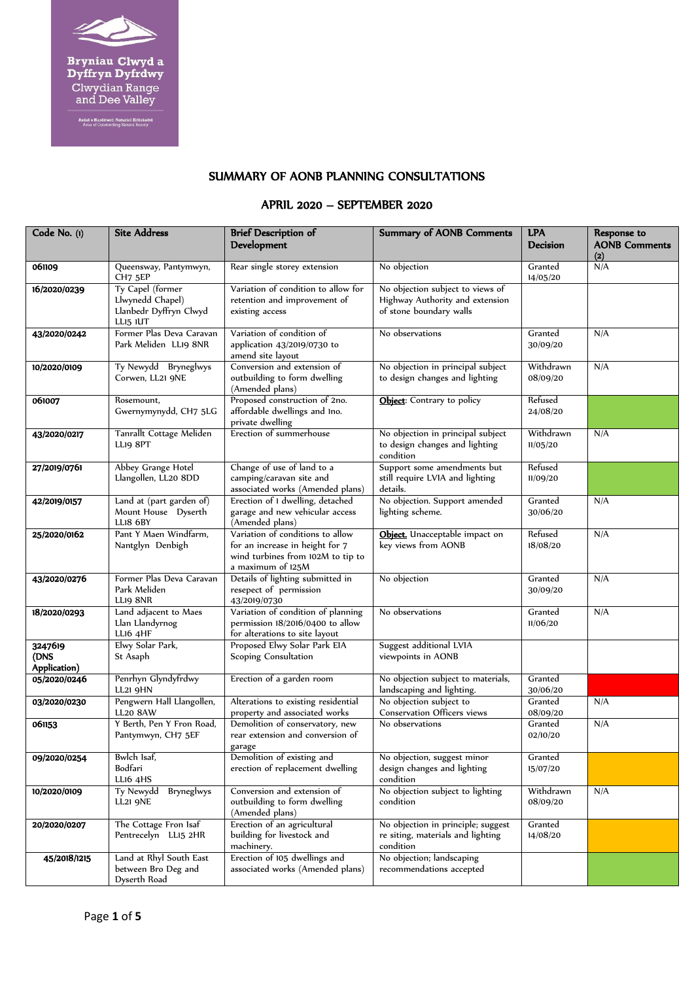

**Bryniau Clwyd a<br>Dyffryn Dyfrdwy**<br>Clwydian Range<br>and Dee Valley

Ardal o Harddwch Naturiol Eithriadol<br>Area of Outstanding Natural Beauty

## SUMMARY OF AONB PLANNING CONSULTATIONS

### APRIL 2020 – SEPTEMBER 2020

| Code No. (1)                    | <b>Site Address</b>                                                        | <b>Brief Description of</b><br>Development                                                                                    | <b>Summary of AONB Comments</b>                                                                | <b>LPA</b><br><b>Decision</b> | Response to<br><b>AONB Comments</b><br>$(2)$ |
|---------------------------------|----------------------------------------------------------------------------|-------------------------------------------------------------------------------------------------------------------------------|------------------------------------------------------------------------------------------------|-------------------------------|----------------------------------------------|
| 061109                          | Queensway, Pantymwyn,<br>CH <sub>7</sub> 5EP                               | Rear single storey extension                                                                                                  | No objection                                                                                   | Granted<br>14/05/20           | N/A                                          |
| 16/2020/0239                    | Ty Capel (former<br>Llwynedd Chapel)<br>Llanbedr Dyffryn Clwyd<br>LLI5 IUT | Variation of condition to allow for<br>retention and improvement of<br>existing access                                        | No objection subject to views of<br>Highway Authority and extension<br>of stone boundary walls |                               |                                              |
| 43/2020/0242                    | Former Plas Deva Caravan<br>Park Meliden LL19 8NR                          | Variation of condition of<br>application 43/2019/0730 to<br>amend site layout                                                 | No observations                                                                                | Granted<br>30/09/20           | N/A                                          |
| 10/2020/0109                    | Ty Newydd Bryneglwys<br>Corwen, LL21 9NE                                   | Conversion and extension of<br>outbuilding to form dwelling<br>(Amended plans)                                                | No objection in principal subject<br>to design changes and lighting                            | Withdrawn<br>08/09/20         | N/A                                          |
| 061007                          | Rosemount,<br>Gwernymynydd, CH7 5LG                                        | Proposed construction of 2no.<br>affordable dwellings and Ino.<br>private dwelling                                            | Object: Contrary to policy                                                                     | Refused<br>24/08/20           |                                              |
| 43/2020/0217                    | Tanrallt Cottage Meliden<br>LLI9 8PT                                       | Erection of summerhouse                                                                                                       | No objection in principal subject<br>to design changes and lighting<br>condition               | Withdrawn<br>11/05/20         | N/A                                          |
| 27/2019/0761                    | Abbey Grange Hotel<br>Llangollen, LL20 8DD                                 | Change of use of land to a<br>camping/caravan site and<br>associated works (Amended plans)                                    | Support some amendments but<br>still require LVIA and lighting<br>details.                     | Refused<br>11/09/20           |                                              |
| 42/2019/0157                    | Land at (part garden of)<br>Mount House Dyserth<br>LLI8 6BY                | Erection of 1 dwelling, detached<br>garage and new vehicular access<br>(Amended plans)                                        | No objection. Support amended<br>lighting scheme.                                              | Granted<br>30/06/20           | N/A                                          |
| 25/2020/0162                    | Pant Y Maen Windfarm,<br>Nantglyn Denbigh                                  | Variation of conditions to allow<br>for an increase in height for 7<br>wind turbines from 102M to tip to<br>a maximum of 125M | Object. Unacceptable impact on<br>key views from AONB                                          | Refused<br>18/08/20           | N/A                                          |
| 43/2020/0276                    | Former Plas Deva Caravan<br>Park Meliden<br>LLI9 8NR                       | Details of lighting submitted in<br>resepect of permission<br>43/2019/0730                                                    | No objection                                                                                   | Granted<br>30/09/20           | N/A                                          |
| 18/2020/0293                    | Land adjacent to Maes<br>Llan Llandyrnog<br><b>LL16 4HF</b>                | Variation of condition of planning<br>permission 18/2016/0400 to allow<br>for alterations to site layout                      | No observations                                                                                | Granted<br>11/06/20           | N/A                                          |
| 3247619<br>(DNS<br>Application) | Elwy Solar Park,<br>St Asaph                                               | Proposed Elwy Solar Park EIA<br>Scoping Consultation                                                                          | Suggest additional LVIA<br>viewpoints in AONB                                                  |                               |                                              |
| 05/2020/0246                    | Penrhyn Glyndyfrdwy<br><b>LL21 9HN</b>                                     | Erection of a garden room                                                                                                     | No objection subject to materials,<br>landscaping and lighting.                                | Granted<br>30/06/20           |                                              |
| 03/2020/0230                    | Pengwern Hall Llangollen,<br><b>LL20 8AW</b>                               | Alterations to existing residential<br>property and associated works                                                          | No objection subject to<br>Conservation Officers views                                         | Granted<br>08/09/20           | N/A                                          |
| 061153                          | Y Berth, Pen Y Fron Road,<br>Pantymwyn, CH7 5EF                            | Demolition of conservatory, new<br>rear extension and conversion of<br>garage                                                 | No observations                                                                                | Granted<br>02/10/20           | N/A                                          |
| 09/2020/0254                    | Bwlch Isaf,<br>Bodfari<br>LL16 4HS                                         | Demolition of existing and<br>erection of replacement dwelling                                                                | No objection, suggest minor<br>design changes and lighting<br>condition                        | Granted<br>15/07/20           |                                              |
| 10/2020/0109                    | Bryneglwys<br>Ty Newydd<br>LL21 9NE                                        | Conversion and extension of<br>outbuilding to form dwelling<br>(Amended plans)                                                | No objection subject to lighting<br>condition                                                  | Withdrawn<br>08/09/20         | N/A                                          |
| 20/2020/0207                    | The Cottage Fron Isaf<br>Pentrecelyn LL15 2HR                              | Erection of an agricultural<br>building for livestock and<br>machinery.                                                       | No objection in principle; suggest<br>re siting, materials and lighting<br>condition           | Granted<br>14/08/20           |                                              |
| 45/2018/1215                    | Land at Rhyl South East<br>between Bro Deg and<br>Dyserth Road             | Erection of 105 dwellings and<br>associated works (Amended plans)                                                             | No objection; landscaping<br>recommendations accepted                                          |                               |                                              |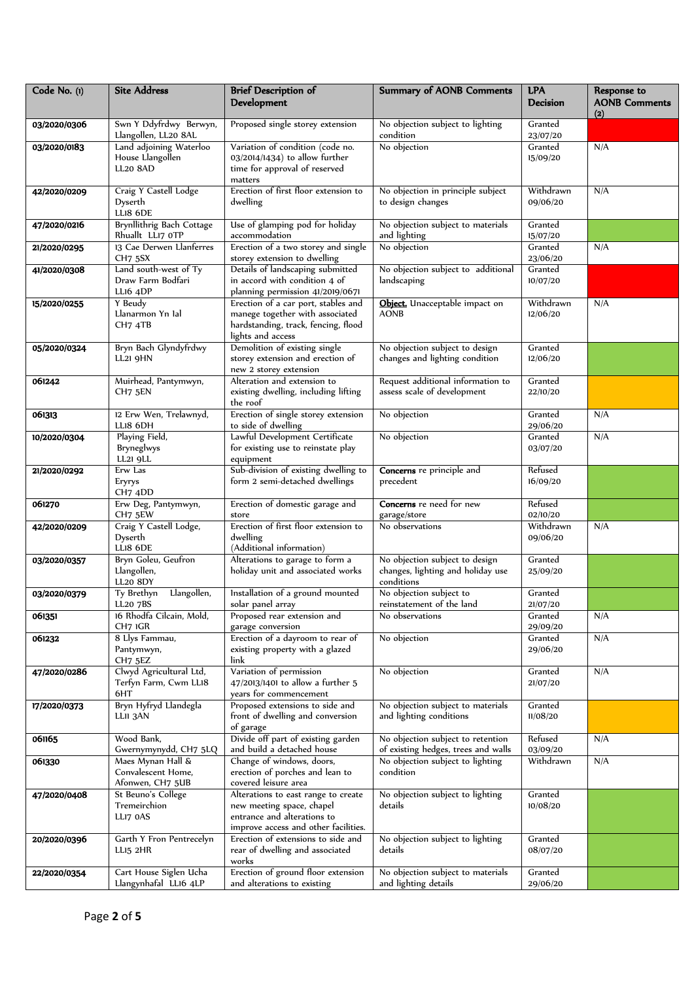| Code No. (1) | <b>Site Address</b>                          | <b>Brief Description of</b><br>Development                          | <b>Summary of AONB Comments</b>                                  | <b>LPA</b><br><b>Decision</b> | Response to<br><b>AONB Comments</b> |
|--------------|----------------------------------------------|---------------------------------------------------------------------|------------------------------------------------------------------|-------------------------------|-------------------------------------|
| 03/2020/0306 | Swn Y Ddyfrdwy Berwyn,                       | Proposed single storey extension                                    | No objection subject to lighting                                 | Granted                       | (2)                                 |
|              | Llangollen, LL20 8AL                         |                                                                     | condition                                                        | 23/07/20                      |                                     |
| 03/2020/0183 | Land adjoining Waterloo                      | Variation of condition (code no.                                    | No objection                                                     | Granted                       | N/A                                 |
|              | House Llangollen                             | 03/2014/1434) to allow further                                      |                                                                  | 15/09/20                      |                                     |
|              | <b>LL20 8AD</b>                              | time for approval of reserved                                       |                                                                  |                               |                                     |
| 42/2020/0209 | Craig Y Castell Lodge                        | matters<br>Erection of first floor extension to                     | No objection in principle subject                                | Withdrawn                     | N/A                                 |
|              | Dyserth                                      | dwelling                                                            | to design changes                                                | 09/06/20                      |                                     |
|              | LLI8 6DE                                     |                                                                     |                                                                  |                               |                                     |
| 47/2020/0216 | Brynllithrig Bach Cottage                    | Use of glamping pod for holiday                                     | No objection subject to materials                                | Granted                       |                                     |
|              | Rhuallt LLI7 OTP                             | accommodation                                                       | and lighting                                                     | 15/07/20                      |                                     |
| 21/2020/0295 | 13 Cae Derwen Llanferres                     | Erection of a two storey and single                                 | No objection                                                     | Granted                       | N/A                                 |
| 41/2020/0308 | CH <sub>7</sub> 5SX<br>Land south-west of Ty | storey extension to dwelling<br>Details of landscaping submitted    | No objection subject to additional                               | 23/06/20<br>Granted           |                                     |
|              | Draw Farm Bodfari                            | in accord with condition 4 of                                       | landscaping                                                      | 10/07/20                      |                                     |
|              | LLI6 4DP                                     | planning permission 41/2019/0671                                    |                                                                  |                               |                                     |
| 15/2020/0255 | Y Beudy                                      | Erection of a car port, stables and                                 | Object. Unacceptable impact on                                   | Withdrawn                     | N/A                                 |
|              | Llanarmon Yn Ial                             | manege together with associated                                     | <b>AONB</b>                                                      | 12/06/20                      |                                     |
|              | CH7 4TB                                      | hardstanding, track, fencing, flood                                 |                                                                  |                               |                                     |
|              |                                              | lights and access                                                   |                                                                  | Granted                       |                                     |
| 05/2020/0324 | Bryn Bach Glyndyfrdwy<br>LL21 9HN            | Demolition of existing single<br>storey extension and erection of   | No objection subject to design<br>changes and lighting condition | 12/06/20                      |                                     |
|              |                                              | new 2 storey extension                                              |                                                                  |                               |                                     |
| 061242       | Muirhead, Pantymwyn,                         | Alteration and extension to                                         | Request additional information to                                | Granted                       |                                     |
|              | CH7 5EN                                      | existing dwelling, including lifting                                | assess scale of development                                      | 22/10/20                      |                                     |
|              |                                              | the roof                                                            |                                                                  |                               |                                     |
| 061313       | 12 Erw Wen, Trelawnyd,                       | Erection of single storey extension                                 | No objection                                                     | Granted                       | N/A                                 |
| 10/2020/0304 | LLI8 6DH<br>Playing Field,                   | to side of dwelling<br>Lawful Development Certificate               | No objection                                                     | 29/06/20<br>Granted           | N/A                                 |
|              | Bryneglwys                                   | for existing use to reinstate play                                  |                                                                  | 03/07/20                      |                                     |
|              | LL21 9LL                                     | equipment                                                           |                                                                  |                               |                                     |
| 21/2020/0292 | Erw Las                                      | Sub-division of existing dwelling to                                | Concerns re principle and                                        | Refused                       |                                     |
|              | Eryrys                                       | form 2 semi-detached dwellings                                      | precedent                                                        | 16/09/20                      |                                     |
|              | CH7 4DD                                      |                                                                     |                                                                  |                               |                                     |
| 061270       | Erw Deg, Pantymwyn,<br>CH7 5EW               | Erection of domestic garage and<br>store                            | Concerns re need for new<br>garage/store                         | Refused<br>02/10/20           |                                     |
| 42/2020/0209 | Craig Y Castell Lodge,                       | Erection of first floor extension to                                | No observations                                                  | Withdrawn                     | N/A                                 |
|              | Dyserth                                      | dwelling                                                            |                                                                  | 09/06/20                      |                                     |
|              | LLI8 6DE                                     | (Additional information)                                            |                                                                  |                               |                                     |
| 03/2020/0357 | Bryn Goleu, Geufron                          | Alterations to garage to form a                                     | No objection subject to design                                   | Granted                       |                                     |
|              | Llangollen,<br><b>LL20 8DY</b>               | holiday unit and associated works                                   | changes, lighting and holiday use<br>conditions                  | 25/09/20                      |                                     |
| 03/2020/0379 | Llangollen,<br>Ty Brethyn                    | Installation of a ground mounted                                    | No objection subject to                                          | Granted                       |                                     |
|              | LL20 7BS                                     | solar panel array                                                   | reinstatement of the land                                        | 21/07/20                      |                                     |
| 061351       | 16 Rhodfa Cilcain, Mold,                     | Proposed rear extension and                                         | No observations                                                  | Granted                       | N/A                                 |
|              | CH7 IGR                                      | garage conversion                                                   |                                                                  | 29/09/20                      |                                     |
| 061232       | 8 Llys Fammau,                               | Erection of a dayroom to rear of                                    | No objection                                                     | Granted                       | N/A                                 |
|              | Pantymwyn,<br>CH7 5EZ                        | existing property with a glazed<br>link                             |                                                                  | 29/06/20                      |                                     |
| 47/2020/0286 | Clwyd Agricultural Ltd,                      | Variation of permission                                             | No objection                                                     | Granted                       | N/A                                 |
|              | Terfyn Farm, Cwm LL18                        | 47/2013/1401 to allow a further 5                                   |                                                                  | 21/07/20                      |                                     |
|              | 6HT                                          | years for commencement                                              |                                                                  |                               |                                     |
| 17/2020/0373 | Bryn Hyfryd Llandegla                        | Proposed extensions to side and                                     | No objection subject to materials                                | Granted                       |                                     |
|              | LLII 3AN                                     | front of dwelling and conversion                                    | and lighting conditions                                          | 11/08/20                      |                                     |
| 061165       | Wood Bank,                                   | of garage<br>Divide off part of existing garden                     | No objection subject to retention                                | Refused                       | N/A                                 |
|              | Gwernymynydd, CH7 5LQ                        | and build a detached house                                          | of existing hedges, trees and walls                              | 03/09/20                      |                                     |
| 061330       | Maes Mynan Hall &                            | Change of windows, doors,                                           | No objection subject to lighting                                 | Withdrawn                     | N/A                                 |
|              | Convalescent Home,                           | erection of porches and lean to                                     | condition                                                        |                               |                                     |
|              | Afonwen, CH7 5UB                             | covered leisure area                                                |                                                                  |                               |                                     |
| 47/2020/0408 | St Beuno's College                           | Alterations to east range to create                                 | No objection subject to lighting                                 | Granted                       |                                     |
|              | Tremeirchion                                 | new meeting space, chapel                                           | details                                                          | 10/08/20                      |                                     |
|              | LLI7 0AS                                     | entrance and alterations to<br>improve access and other facilities. |                                                                  |                               |                                     |
| 20/2020/0396 | Garth Y Fron Pentrecelyn                     | Erection of extensions to side and                                  | No objection subject to lighting                                 | Granted                       |                                     |
|              | LL15 2HR                                     | rear of dwelling and associated                                     | details                                                          | 08/07/20                      |                                     |
|              |                                              | works                                                               |                                                                  |                               |                                     |
| 22/2020/0354 | Cart House Siglen Ucha                       | Erection of ground floor extension                                  | No objection subject to materials                                | Granted                       |                                     |
|              | Llangynhafal LL16 4LP                        | and alterations to existing                                         | and lighting details                                             | 29/06/20                      |                                     |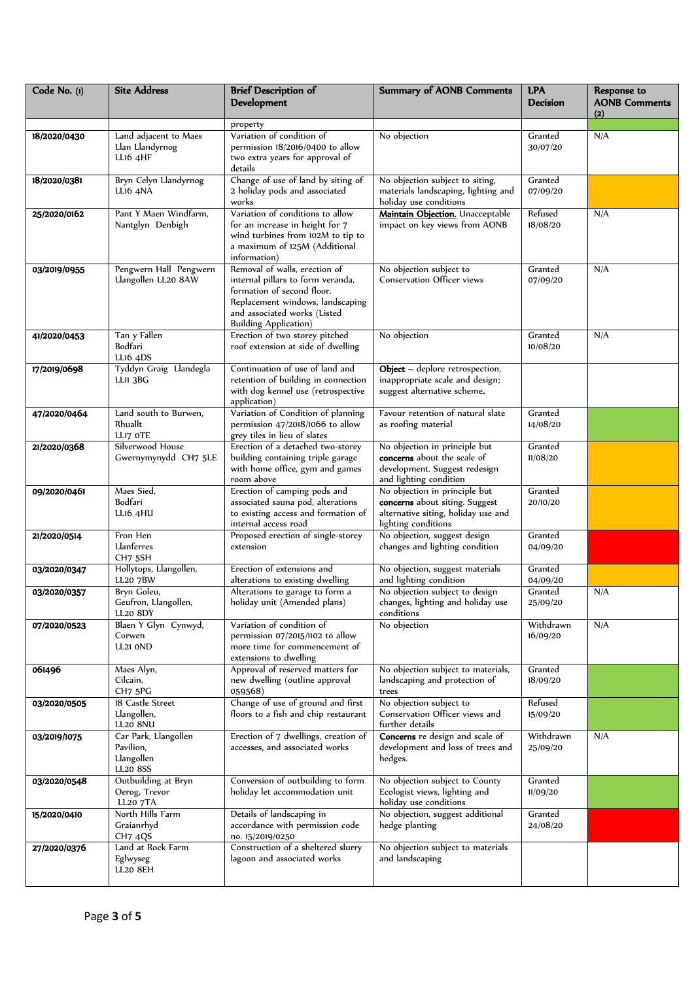| Code No. (1) | <b>Site Address</b>                                                | <b>Brief Description of</b><br><b>Development</b>                                                                                                                                                     | <b>Summary of AONB Comments</b>                                                                                                | <b>LPA</b><br><b>Decision</b> | Response to<br><b>AONB Comments</b><br>(2) |
|--------------|--------------------------------------------------------------------|-------------------------------------------------------------------------------------------------------------------------------------------------------------------------------------------------------|--------------------------------------------------------------------------------------------------------------------------------|-------------------------------|--------------------------------------------|
|              |                                                                    | property                                                                                                                                                                                              |                                                                                                                                |                               |                                            |
| 18/2020/0430 | Land adjacent to Maes<br>Llan Llandyrnog<br>LL16 4HF               | Variation of condition of<br>permission 18/2016/0400 to allow<br>two extra years for approval of<br>details                                                                                           | No objection                                                                                                                   | Granted<br>30/07/20           | N/A                                        |
| 18/2020/0381 | Bryn Celyn Llandyrnog<br><b>LLI6 4NA</b>                           | Change of use of land by siting of<br>2 holiday pods and associated<br>works                                                                                                                          | No objection subject to siting,<br>materials landscaping, lighting and<br>holiday use conditions                               | Granted<br>07/09/20           |                                            |
| 25/2020/0162 | Pant Y Maen Windfarm.<br>Nantglyn Denbigh                          | Variation of conditions to allow<br>for an increase in height for 7<br>wind turbines from 102M to tip to<br>a maximum of 125M (Additional<br>information)                                             | Maintain Objection. Unacceptable<br>impact on key views from AONB                                                              | Refused<br>18/08/20           | N/A                                        |
| 03/2019/0955 | Pengwern Hall Pengwern<br>Llangollen LL20 8AW                      | Removal of walls, erection of<br>internal pillars to form veranda,<br>formation of second floor.<br>Replacement windows, landscaping<br>and associated works (Listed<br><b>Building Application</b> ) | No objection subject to<br><b>Conservation Officer views</b>                                                                   | Granted<br>07/09/20           | N/A                                        |
| 41/2020/0453 | Tan y Fallen<br>Bodfari<br>LL16 4DS                                | Erection of two storey pitched<br>roof extension at side of dwelling                                                                                                                                  | No objection                                                                                                                   | Granted<br>10/08/20           | N/A                                        |
| 17/2019/0698 | Tyddyn Graig Llandegla<br>LLII 3BG                                 | Continuation of use of land and<br>retention of building in connection<br>with dog kennel use (retrospective<br>application)                                                                          | Object - deplore retrospection,<br>inappropriate scale and design;<br>suggest alternative scheme.                              |                               |                                            |
| 47/2020/0464 | Land south to Burwen,<br>Rhuallt<br>LLI7 OTE                       | Variation of Condition of planning<br>permission 47/2018/1066 to allow<br>grey tiles in lieu of slates                                                                                                | Favour retention of natural slate<br>as roofing material                                                                       | Granted<br>14/08/20           |                                            |
| 21/2020/0368 | Silverwood House<br>Gwernymynydd CH7 5LE                           | Erection of a detached two-storey<br>building containing triple garage<br>with home office, gym and games<br>room above                                                                               | No objection in principle but<br><b>concerns</b> about the scale of<br>development. Suggest redesign<br>and lighting condition | Granted<br>11/08/20           |                                            |
| 09/2020/0461 | Maes Sied,<br>Bodfari<br>LLI6 4HU                                  | Erection of camping pods and<br>associated sauna pod, alterations<br>to existing access and formation of<br>internal access road                                                                      | No objection in principle but<br>concerns about siting. Suggest<br>alternative siting, holiday use and<br>lighting conditions  | Granted<br>20/10/20           |                                            |
| 21/2020/0514 | Fron Hen<br>Llanferres<br>CH7 5SH                                  | Proposed erection of single-storey<br>extension                                                                                                                                                       | No objection, suggest design<br>changes and lighting condition                                                                 | Granted<br>04/09/20           |                                            |
| 03/2020/0347 | Hollytops, Llangollen,<br><b>LL20 7BW</b>                          | Erection of extensions and<br>alterations to existing dwelling                                                                                                                                        | No objection, suggest materials<br>and lighting condition                                                                      | Granted<br>04/09/20           |                                            |
| 03/2020/0357 | Bryn Goleu,<br>Geufron, Llangollen,<br><b>LL20 8DY</b>             | Alterations to garage to form a<br>holiday unit (Amended plans)                                                                                                                                       | No objection subject to design<br>changes, lighting and holiday use<br>conditions                                              | Granted<br>25/09/20           | N/A                                        |
| 07/2020/0523 | Blaen Y Glyn Cynwyd,<br>Corwen<br>LL21 OND                         | Variation of condition of<br>permission 07/2015/1102 to allow<br>more time for commencement of<br>extensions to dwelling                                                                              | No objection                                                                                                                   | Withdrawn<br>16/09/20         | N/A                                        |
| 061496       | Maes Alyn,<br>Cilcain,<br>CH7 5PG                                  | Approval of reserved matters for<br>new dwelling (outline approval<br>059568)                                                                                                                         | No objection subject to materials,<br>landscaping and protection of<br>trees                                                   | Granted<br>18/09/20           |                                            |
| 03/2020/0505 | 18 Castle Street<br>Llangollen,<br><b>LL20 8NU</b>                 | Change of use of ground and first<br>floors to a fish and chip restaurant                                                                                                                             | No objection subject to<br>Conservation Officer views and<br>further details                                                   | Refused<br>15/09/20           |                                            |
| 03/2019/1075 | Car Park, Llangollen<br>Pavilion,<br>Llangollen<br><b>LL20 8SS</b> | Erection of 7 dwellings, creation of<br>accesses, and associated works                                                                                                                                | Concerns re design and scale of<br>development and loss of trees and<br>hedges.                                                | Withdrawn<br>25/09/20         | N/A                                        |
| 03/2020/0548 | Outbuilding at Bryn<br>Oerog, Trevor<br><b>LL20 7TA</b>            | Conversion of outbuilding to form<br>holiday let accommodation unit                                                                                                                                   | No objection subject to County<br>Ecologist views, lighting and<br>holiday use conditions                                      | Granted<br>11/09/20           |                                            |
| 15/2020/0410 | North Hills Farm<br>Graianrhyd<br>CH7 4QS                          | Details of landscaping in<br>accordance with permission code<br>no. 15/2019/0250                                                                                                                      | No objection, suggest additional<br>hedge planting                                                                             | Granted<br>24/08/20           |                                            |
| 27/2020/0376 | Land at Rock Farm<br>Eglwyseg<br>LL20 8EH                          | Construction of a sheltered slurry<br>lagoon and associated works                                                                                                                                     | No objection subject to materials<br>and landscaping                                                                           |                               |                                            |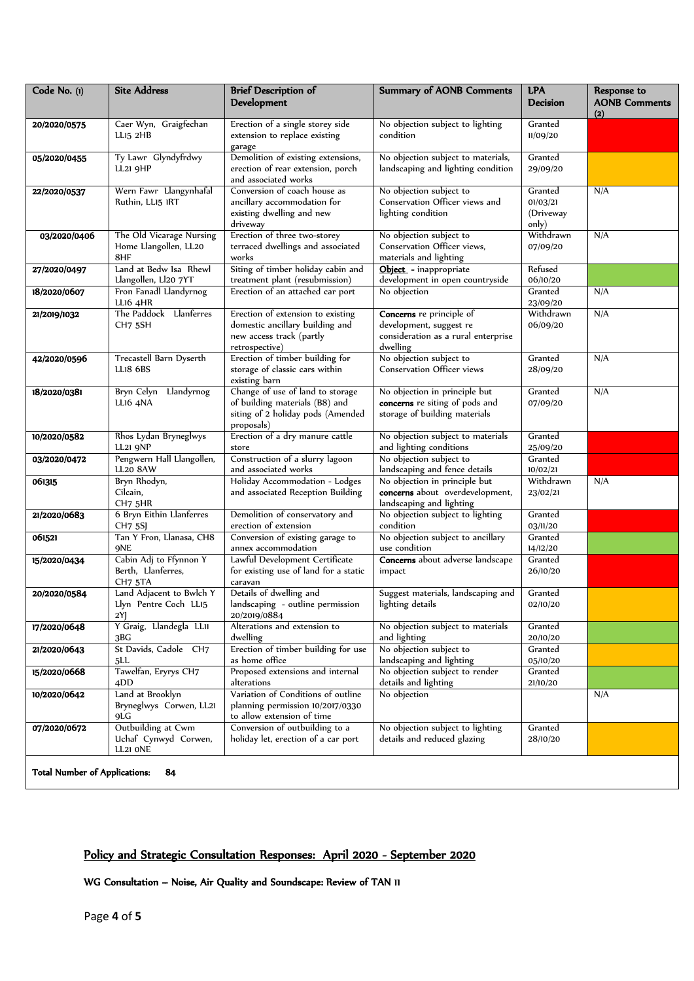| Code No. (1) | <b>Site Address</b>                                                 | <b>Brief Description of</b><br>Development                                                                            | <b>Summary of AONB Comments</b>                                                                        | <b>LPA</b><br><b>Decision</b>             | Response to<br><b>AONB Comments</b><br>(2) |
|--------------|---------------------------------------------------------------------|-----------------------------------------------------------------------------------------------------------------------|--------------------------------------------------------------------------------------------------------|-------------------------------------------|--------------------------------------------|
| 20/2020/0575 | Caer Wyn, Graigfechan<br>LLI5 2HB                                   | Erection of a single storey side<br>extension to replace existing<br>garage                                           | No objection subject to lighting<br>condition                                                          | Granted<br>11/09/20                       |                                            |
| 05/2020/0455 | Ty Lawr Glyndyfrdwy<br><b>LL21 9HP</b>                              | Demolition of existing extensions,<br>erection of rear extension, porch<br>and associated works                       | No objection subject to materials,<br>landscaping and lighting condition                               | Granted<br>29/09/20                       |                                            |
| 22/2020/0537 | Wern Fawr Llangynhafal<br>Ruthin, LL15 IRT                          | Conversion of coach house as<br>ancillary accommodation for<br>existing dwelling and new<br>driveway                  | No objection subject to<br>Conservation Officer views and<br>lighting condition                        | Granted<br>01/03/21<br>(Driveway<br>only) | N/A                                        |
| 03/2020/0406 | The Old Vicarage Nursing<br>Home Llangollen, LL20<br>8HF            | Erection of three two-storey<br>terraced dwellings and associated<br>works                                            | No objection subject to<br>Conservation Officer views,<br>materials and lighting                       | Withdrawn<br>07/09/20                     | N/A                                        |
| 27/2020/0497 | Land at Bedw Isa Rhewl<br>Llangollen, Ll20 7YT                      | Siting of timber holiday cabin and<br>treatment plant (resubmission)                                                  | Object - inappropriate<br>development in open countryside                                              | Refused<br>06/10/20                       |                                            |
| 18/2020/0607 | Fron Fanadl Llandyrnog<br>LLI6 4HR                                  | Erection of an attached car port                                                                                      | No objection                                                                                           | Granted<br>23/09/20                       | N/A                                        |
| 21/2019/1032 | The Paddock Llanferres<br>CH <sub>7</sub> 5SH                       | Erection of extension to existing<br>domestic ancillary building and<br>new access track (partly<br>retrospective)    | Concerns re principle of<br>development, suggest re<br>consideration as a rural enterprise<br>dwelling | Withdrawn<br>06/09/20                     | N/A                                        |
| 42/2020/0596 | Trecastell Barn Dyserth<br><b>LL18 6BS</b>                          | Erection of timber building for<br>storage of classic cars within<br>existing barn                                    | No objection subject to<br><b>Conservation Officer views</b>                                           | Granted<br>28/09/20                       | N/A                                        |
| 18/2020/0381 | Bryn Celyn Llandyrnog<br>LLI6 4NA                                   | Change of use of land to storage<br>of building materials (B8) and<br>siting of 2 holiday pods (Amended<br>proposals) | No objection in principle but<br>concerns re siting of pods and<br>storage of building materials       | Granted<br>07/09/20                       | N/A                                        |
| 10/2020/0582 | Rhos Lydan Bryneglwys<br><b>LL21 9NP</b>                            | Erection of a dry manure cattle<br>store                                                                              | No objection subject to materials<br>and lighting conditions                                           | Granted<br>25/09/20                       |                                            |
| 03/2020/0472 | Pengwern Hall Llangollen,<br><b>LL20 8AW</b>                        | Construction of a slurry lagoon<br>and associated works                                                               | No objection subject to<br>landscaping and fence details                                               | Granted<br>10/02/21                       |                                            |
| 061315       | Bryn Rhodyn,<br>Cilcain,<br>CH7 5HR                                 | Holiday Accommodation - Lodges<br>and associated Reception Building                                                   | No objection in principle but<br>concerns about overdevelopment,<br>landscaping and lighting           | Withdrawn<br>23/02/21                     | N/A                                        |
| 21/2020/0683 | 6 Bryn Eithin Llanferres<br><b>CH7 5SJ</b>                          | Demolition of conservatory and<br>erection of extension                                                               | No objection subject to lighting<br>condition                                                          | Granted<br>03/11/20                       |                                            |
| 061521       | Tan Y Fron, Llanasa, CH8<br><b>9NE</b>                              | Conversion of existing garage to<br>annex accommodation                                                               | No objection subject to ancillary<br>use condition                                                     | Granted<br>14/12/20                       |                                            |
| 15/2020/0434 | Cabin Adj to Ffynnon Y<br>Berth, Llanferres,<br>CH <sub>7</sub> 5TA | Lawful Development Certificate<br>for existing use of land for a static<br>caravan                                    | Concerns about adverse landscape<br>impact                                                             | Granted<br>26/10/20                       |                                            |
| 20/2020/0584 | Land Adjacent to Bwlch Y<br>Llyn Pentre Coch LL15<br>2Y]            | Details of dwelling and<br>landscaping - outline permission<br>20/2019/0884                                           | Suggest materials, landscaping and<br>lighting details                                                 | Granted<br>02/10/20                       |                                            |
| 17/2020/0648 | Y Graig, Llandegla LLII<br>3BG                                      | Alterations and extension to<br>dwelling                                                                              | No objection subject to materials<br>and lighting                                                      | Granted<br>20/10/20                       |                                            |
| 21/2020/0643 | St Davids, Cadole CH7<br>5LL                                        | Erection of timber building for use<br>as home office                                                                 | No objection subject to<br>landscaping and lighting                                                    | Granted<br>05/10/20                       |                                            |
| 15/2020/0668 | Tawelfan, Eryrys CH7<br>4DD                                         | Proposed extensions and internal<br>alterations                                                                       | No objection subject to render<br>details and lighting                                                 | Granted<br>21/10/20                       |                                            |
| 10/2020/0642 | Land at Brooklyn<br>Bryneglwys Corwen, LL21<br>9LG                  | Variation of Conditions of outline<br>planning permission 10/2017/0330<br>to allow extension of time                  | No objection                                                                                           |                                           | N/A                                        |
| 07/2020/0672 | Outbuilding at Cwm<br>Uchaf Cynwyd Corwen,<br>LL21 ONE              | Conversion of outbuilding to a<br>holiday let, erection of a car port                                                 | No objection subject to lighting<br>details and reduced glazing                                        | Granted<br>28/10/20                       |                                            |

# Policy and Strategic Consultation Responses: April 2020 - September 2020

WG Consultation – Noise, Air Quality and Soundscape: Review of TAN 11